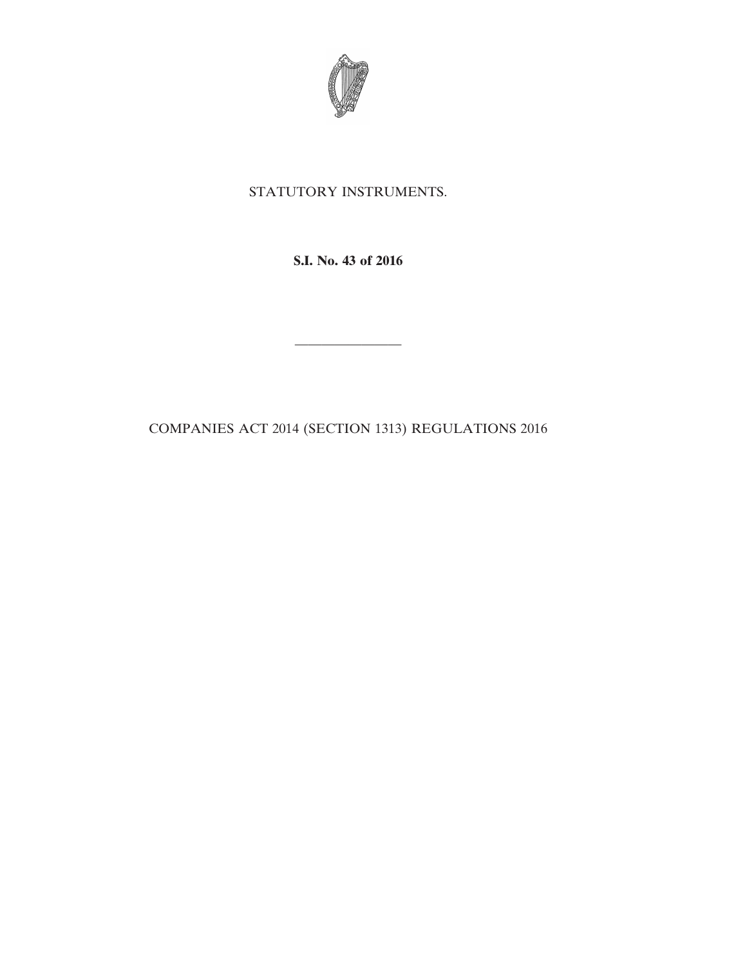

## STATUTORY INSTRUMENTS.

**S.I. No. 43 of 2016**

————————

COMPANIES ACT 2014 (SECTION 1313) REGULATIONS 2016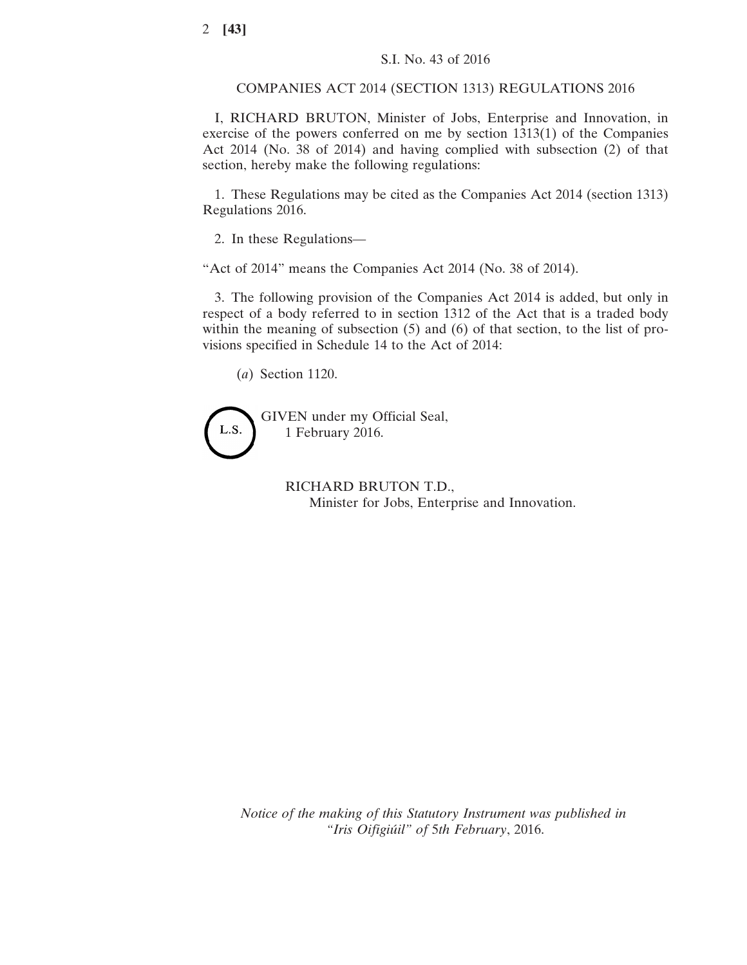COMPANIES ACT 2014 (SECTION 1313) REGULATIONS 2016

I, RICHARD BRUTON, Minister of Jobs, Enterprise and Innovation, in exercise of the powers conferred on me by section 1313(1) of the Companies Act 2014 (No. 38 of 2014) and having complied with subsection (2) of that section, hereby make the following regulations:

1. These Regulations may be cited as the Companies Act 2014 (section 1313) Regulations 2016.

2. In these Regulations—

"Act of 2014" means the Companies Act 2014 (No. 38 of 2014).

3. The following provision of the Companies Act 2014 is added, but only in respect of a body referred to in section 1312 of the Act that is a traded body within the meaning of subsection (5) and (6) of that section, to the list of provisions specified in Schedule 14 to the Act of 2014:

(*a*) Section 1120.



RICHARD BRUTON T.D., Minister for Jobs, Enterprise and Innovation.

*Notice of the making of this Statutory Instrument was published in "Iris Oifigiúil" of* 5*th February*, 2016.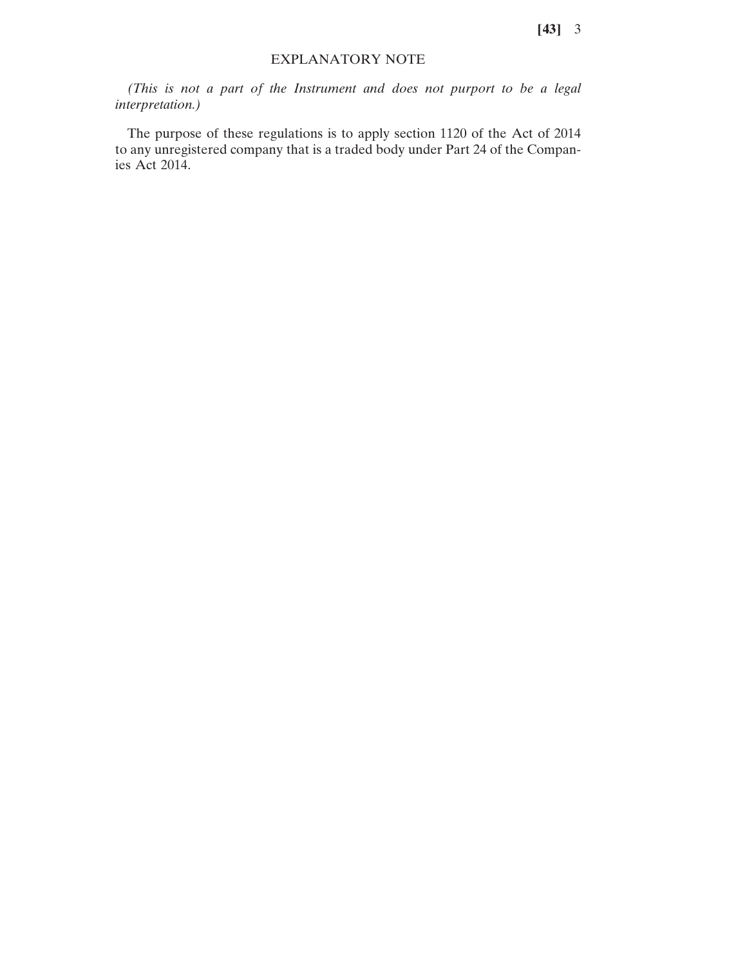**[43]** 3

## EXPLANATORY NOTE

*(This is not a part of the Instrument and does not purport to be a legal interpretation.)*

The purpose of these regulations is to apply section 1120 of the Act of 2014 to any unregistered company that is a traded body under Part 24 of the Companies Act 2014.